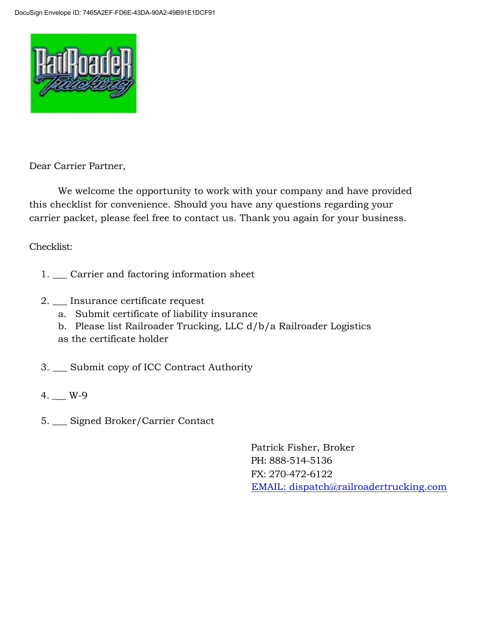

Dear Carrier Partner,

We welcome the opportunity to work with your company and have provided this checklist for convenience. Should you have any questions regarding your carrier packet, please feel free to contact us. Thank you again for your business.

Checklist:

- 1. \_\_\_ Carrier and factoring information sheet
- 2. \_\_\_ Insurance certificate request
	- a. Submit certificate of liability insurance
	- b. Please list Railroader Trucking, LLC d/b/a Railroader Logistics
	- as the certificate holder
- 3. \_\_\_ Submit copy of ICC Contract Authority
- 4. \_\_\_ W-9
- 5. \_\_\_ Signed Broker/Carrier Contact

Patrick Fisher, Broker PH: 888-514-5136 FX: 270-472-6122 [EMAIL: dispatch@railroadertrucking.com](mailto:dispatch@railroadertrucking.com)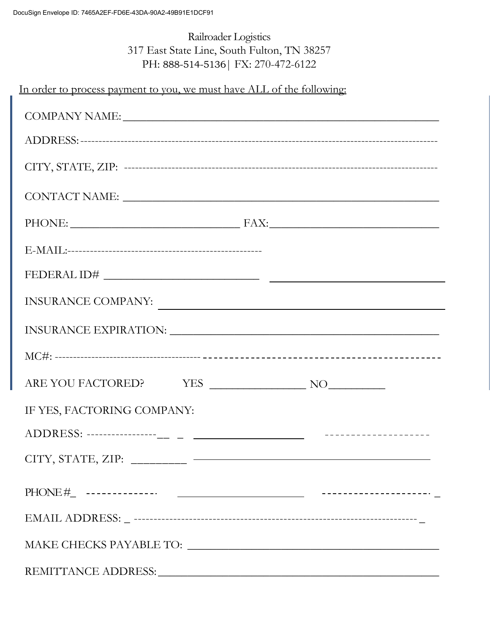# Railroader Logistics 317 East State Line, South Fulton, TN 38257 PH: 888-514-5136| FX: 270-472-6122

In order to process payment to you, we must have ALL of the following:

| COMPANY NAME: NAME:                                                                           |  |
|-----------------------------------------------------------------------------------------------|--|
|                                                                                               |  |
|                                                                                               |  |
|                                                                                               |  |
| PHONE: FAX: FAX:                                                                              |  |
|                                                                                               |  |
|                                                                                               |  |
| $\textcolor{red}{\textbf{INSURANCE COMPANY:}} \underbrace{\textcolor{blue}{\textbf{MPPANY:}}$ |  |
|                                                                                               |  |
|                                                                                               |  |
|                                                                                               |  |
| IF YES, FACTORING COMPANY:                                                                    |  |
|                                                                                               |  |
| $CITY, STATE, ZIP: \_\_ \_\_ \_\_ \_\_ \_\_$                                                  |  |
|                                                                                               |  |
|                                                                                               |  |
| $\text{MAKE } \text{CHECKS } \text{PAYABLE } \text{TO: } \underline{\hspace{2cm}}$            |  |
|                                                                                               |  |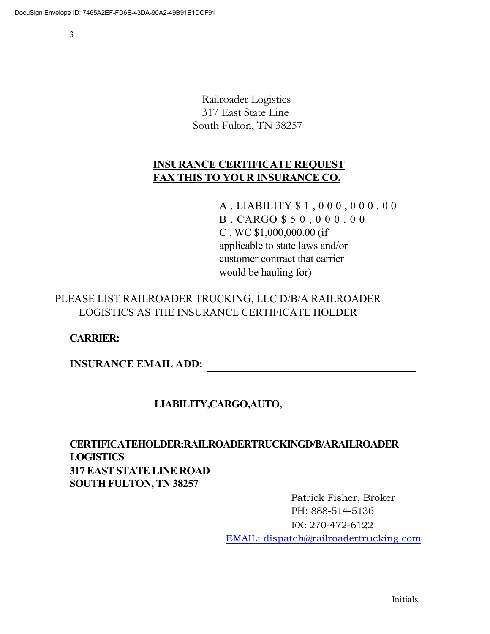Railroader Logistics 317 East State Line South Fulton, TN 38257

## **INSURANCE CERTIFICATE REQUEST FAX THIS TO YOUR INSURANCE CO.**

A . LIABILITY \$ 1 , 0 0 0 , 0 0 0 . 0 0 B . CARGO \$ 5 0 , 0 0 0 . 0 0 C . WC \$1,000,000.00 (if applicable to state laws and/or customer contract that carrier would be hauling for)

### PLEASE LIST RAILROADER TRUCKING, LLC D/B/A RAILROADER LOGISTICS AS THE INSURANCE CERTIFICATE HOLDER

### **CARRIER:**

**INSURANCE EMAIL ADD:**

### **LIABILITY,CARGO,AUTO,**

# **CERTIFICATEHOLDER:RAILROADERTRUCKINGD/B/ARAILROADER LOGISTICS 317 EAST STATE LINE ROAD SOUTH FULTON, TN 38257**

Patrick Fisher, Broker PH: 888-514-5136 FX: 270-472-6122 [EMAIL: dispatch@railroadertrucking.com](mailto:dispatch@railroadertrucking.com)

Initials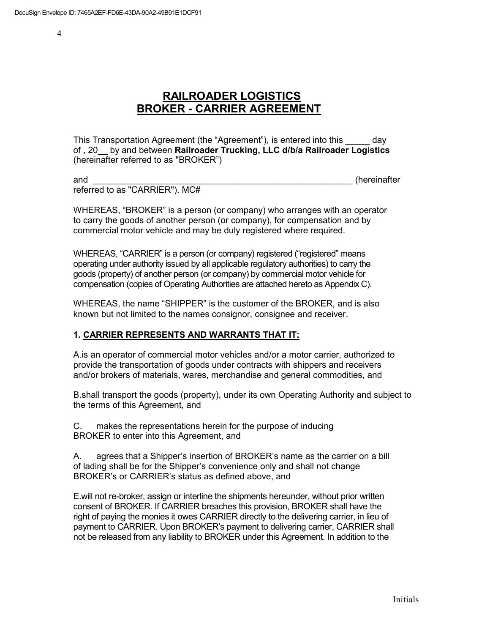# **RAILROADER LOGISTICS BROKER - CARRIER AGREEMENT**

This Transportation Agreement (the "Agreement"), is entered into this \_\_\_\_\_ day of , 20\_\_ by and between **Railroader Trucking, LLC d/b/a Railroader Logistics**  (hereinafter referred to as "BROKER")

and **and and and** *and and***</del> <b>***and and and and***</del> <b>***and and and and and and and***</del> <b>***and and and and and and***</del> <b>***and and and and and and***</del>** referred to as "CARRIER"). MC#

WHEREAS, "BROKER" is a person (or company) who arranges with an operator to carry the goods of another person (or company), for compensation and by commercial motor vehicle and may be duly registered where required.

WHEREAS, "CARRIER" is a person (or company) registered ("registered" means operating under authority issued by all applicable regulatory authorities) to carry the goods (property) of another person (or company) by commercial motor vehicle for compensation (copies of Operating Authorities are attached hereto as Appendix C).

WHEREAS, the name "SHIPPER" is the customer of the BROKER, and is also known but not limited to the names consignor, consignee and receiver.

#### **1. CARRIER REPRESENTS AND WARRANTS THAT IT:**

A.is an operator of commercial motor vehicles and/or a motor carrier, authorized to provide the transportation of goods under contracts with shippers and receivers and/or brokers of materials, wares, merchandise and general commodities, and

B.shall transport the goods (property), under its own Operating Authority and subject to the terms of this Agreement, and

C. makes the representations herein for the purpose of inducing BROKER to enter into this Agreement, and

A. agrees that a Shipper's insertion of BROKER's name as the carrier on a bill of lading shall be for the Shipper's convenience only and shall not change BROKER's or CARRIER's status as defined above, and

E.will not re-broker, assign or interline the shipments hereunder, without prior written consent of BROKER. If CARRIER breaches this provision, BROKER shall have the right of paying the monies it owes CARRIER directly to the delivering carrier, in lieu of payment to CARRIER. Upon BROKER's payment to delivering carrier, CARRIER shall not be released from any liability to BROKER under this Agreement. In addition to the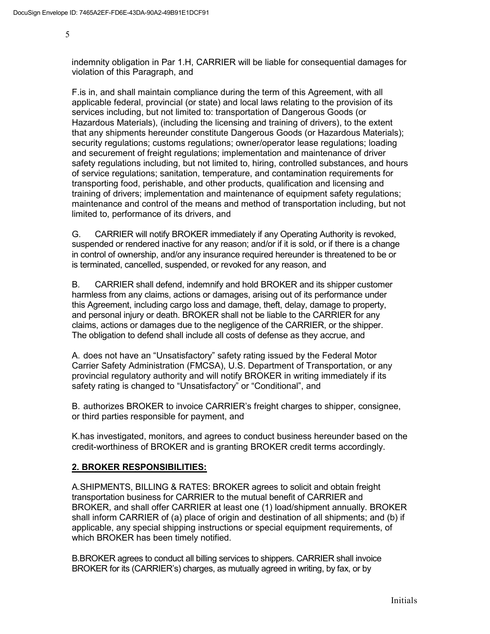indemnity obligation in Par 1.H, CARRIER will be liable for consequential damages for violation of this Paragraph, and

F.is in, and shall maintain compliance during the term of this Agreement, with all applicable federal, provincial (or state) and local laws relating to the provision of its services including, but not limited to: transportation of Dangerous Goods (or Hazardous Materials), (including the licensing and training of drivers), to the extent that any shipments hereunder constitute Dangerous Goods (or Hazardous Materials); security regulations; customs regulations; owner/operator lease regulations; loading and securement of freight regulations; implementation and maintenance of driver safety regulations including, but not limited to, hiring, controlled substances, and hours of service regulations; sanitation, temperature, and contamination requirements for transporting food, perishable, and other products, qualification and licensing and training of drivers; implementation and maintenance of equipment safety regulations; maintenance and control of the means and method of transportation including, but not limited to, performance of its drivers, and

G. CARRIER will notify BROKER immediately if any Operating Authority is revoked, suspended or rendered inactive for any reason; and/or if it is sold, or if there is a change in control of ownership, and/or any insurance required hereunder is threatened to be or is terminated, cancelled, suspended, or revoked for any reason, and

B. CARRIER shall defend, indemnify and hold BROKER and its shipper customer harmless from any claims, actions or damages, arising out of its performance under this Agreement, including cargo loss and damage, theft, delay, damage to property, and personal injury or death. BROKER shall not be liable to the CARRIER for any claims, actions or damages due to the negligence of the CARRIER, or the shipper. The obligation to defend shall include all costs of defense as they accrue, and

A. does not have an "Unsatisfactory" safety rating issued by the Federal Motor Carrier Safety Administration (FMCSA), U.S. Department of Transportation, or any provincial regulatory authority and will notify BROKER in writing immediately if its safety rating is changed to "Unsatisfactory" or "Conditional", and

B. authorizes BROKER to invoice CARRIER's freight charges to shipper, consignee, or third parties responsible for payment, and

K.has investigated, monitors, and agrees to conduct business hereunder based on the credit-worthiness of BROKER and is granting BROKER credit terms accordingly.

#### **2. BROKER RESPONSIBILITIES:**

A.SHIPMENTS, BILLING & RATES: BROKER agrees to solicit and obtain freight transportation business for CARRIER to the mutual benefit of CARRIER and BROKER, and shall offer CARRIER at least one (1) load/shipment annually. BROKER shall inform CARRIER of (a) place of origin and destination of all shipments; and (b) if applicable, any special shipping instructions or special equipment requirements, of which BROKER has been timely notified.

B.BROKER agrees to conduct all billing services to shippers. CARRIER shall invoice BROKER for its (CARRIER's) charges, as mutually agreed in writing, by fax, or by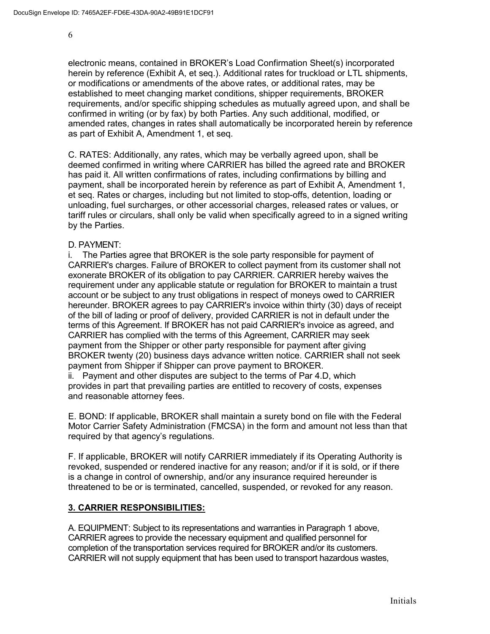electronic means, contained in BROKER's Load Confirmation Sheet(s) incorporated herein by reference (Exhibit A, et seq.). Additional rates for truckload or LTL shipments, or modifications or amendments of the above rates, or additional rates, may be established to meet changing market conditions, shipper requirements, BROKER requirements, and/or specific shipping schedules as mutually agreed upon, and shall be confirmed in writing (or by fax) by both Parties. Any such additional, modified, or amended rates, changes in rates shall automatically be incorporated herein by reference as part of Exhibit A, Amendment 1, et seq.

C. RATES: Additionally, any rates, which may be verbally agreed upon, shall be deemed confirmed in writing where CARRIER has billed the agreed rate and BROKER has paid it. All written confirmations of rates, including confirmations by billing and payment, shall be incorporated herein by reference as part of Exhibit A, Amendment 1, et seq. Rates or charges, including but not limited to stop-offs, detention, loading or unloading, fuel surcharges, or other accessorial charges, released rates or values, or tariff rules or circulars, shall only be valid when specifically agreed to in a signed writing by the Parties.

#### D. PAYMENT:

i. The Parties agree that BROKER is the sole party responsible for payment of CARRIER's charges. Failure of BROKER to collect payment from its customer shall not exonerate BROKER of its obligation to pay CARRIER. CARRIER hereby waives the requirement under any applicable statute or regulation for BROKER to maintain a trust account or be subject to any trust obligations in respect of moneys owed to CARRIER hereunder. BROKER agrees to pay CARRIER's invoice within thirty (30) days of receipt of the bill of lading or proof of delivery, provided CARRIER is not in default under the terms of this Agreement. If BROKER has not paid CARRIER's invoice as agreed, and CARRIER has complied with the terms of this Agreement, CARRIER may seek payment from the Shipper or other party responsible for payment after giving BROKER twenty (20) business days advance written notice. CARRIER shall not seek payment from Shipper if Shipper can prove payment to BROKER.

ii. Payment and other disputes are subject to the terms of Par 4.D, which provides in part that prevailing parties are entitled to recovery of costs, expenses and reasonable attorney fees.

E. BOND: If applicable, BROKER shall maintain a surety bond on file with the Federal Motor Carrier Safety Administration (FMCSA) in the form and amount not less than that required by that agency's regulations.

F. If applicable, BROKER will notify CARRIER immediately if its Operating Authority is revoked, suspended or rendered inactive for any reason; and/or if it is sold, or if there is a change in control of ownership, and/or any insurance required hereunder is threatened to be or is terminated, cancelled, suspended, or revoked for any reason.

#### **3. CARRIER RESPONSIBILITIES:**

A. EQUIPMENT: Subject to its representations and warranties in Paragraph 1 above, CARRIER agrees to provide the necessary equipment and qualified personnel for completion of the transportation services required for BROKER and/or its customers. CARRIER will not supply equipment that has been used to transport hazardous wastes,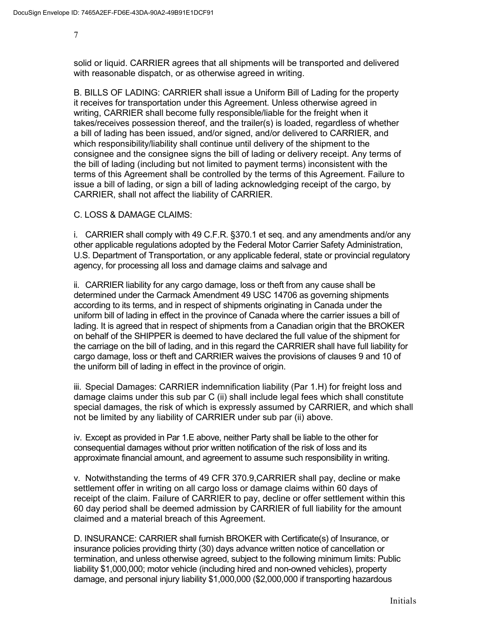solid or liquid. CARRIER agrees that all shipments will be transported and delivered with reasonable dispatch, or as otherwise agreed in writing.

B. BILLS OF LADING: CARRIER shall issue a Uniform Bill of Lading for the property it receives for transportation under this Agreement. Unless otherwise agreed in writing, CARRIER shall become fully responsible/liable for the freight when it takes/receives possession thereof, and the trailer(s) is loaded, regardless of whether a bill of lading has been issued, and/or signed, and/or delivered to CARRIER, and which responsibility/liability shall continue until delivery of the shipment to the consignee and the consignee signs the bill of lading or delivery receipt. Any terms of the bill of lading (including but not limited to payment terms) inconsistent with the terms of this Agreement shall be controlled by the terms of this Agreement. Failure to issue a bill of lading, or sign a bill of lading acknowledging receipt of the cargo, by CARRIER, shall not affect the liability of CARRIER.

C. LOSS & DAMAGE CLAIMS:

i. CARRIER shall comply with 49 C.F.R. §370.1 et seq. and any amendments and/or any other applicable regulations adopted by the Federal Motor Carrier Safety Administration, U.S. Department of Transportation, or any applicable federal, state or provincial regulatory agency, for processing all loss and damage claims and salvage and

ii. CARRIER liability for any cargo damage, loss or theft from any cause shall be determined under the Carmack Amendment 49 USC 14706 as governing shipments according to its terms, and in respect of shipments originating in Canada under the uniform bill of lading in effect in the province of Canada where the carrier issues a bill of lading. It is agreed that in respect of shipments from a Canadian origin that the BROKER on behalf of the SHIPPER is deemed to have declared the full value of the shipment for the carriage on the bill of lading, and in this regard the CARRIER shall have full liability for cargo damage, loss or theft and CARRIER waives the provisions of clauses 9 and 10 of the uniform bill of lading in effect in the province of origin.

iii. Special Damages: CARRIER indemnification liability (Par 1.H) for freight loss and damage claims under this sub par C (ii) shall include legal fees which shall constitute special damages, the risk of which is expressly assumed by CARRIER, and which shall not be limited by any liability of CARRIER under sub par (ii) above.

iv. Except as provided in Par 1.E above, neither Party shall be liable to the other for consequential damages without prior written notification of the risk of loss and its approximate financial amount, and agreement to assume such responsibility in writing.

v. Notwithstanding the terms of 49 CFR 370.9,CARRIER shall pay, decline or make settlement offer in writing on all cargo loss or damage claims within 60 days of receipt of the claim. Failure of CARRIER to pay, decline or offer settlement within this 60 day period shall be deemed admission by CARRIER of full liability for the amount claimed and a material breach of this Agreement.

D. INSURANCE: CARRIER shall furnish BROKER with Certificate(s) of Insurance, or insurance policies providing thirty (30) days advance written notice of cancellation or termination, and unless otherwise agreed, subject to the following minimum limits: Public liability \$1,000,000; motor vehicle (including hired and non-owned vehicles), property damage, and personal injury liability \$1,000,000 (\$2,000,000 if transporting hazardous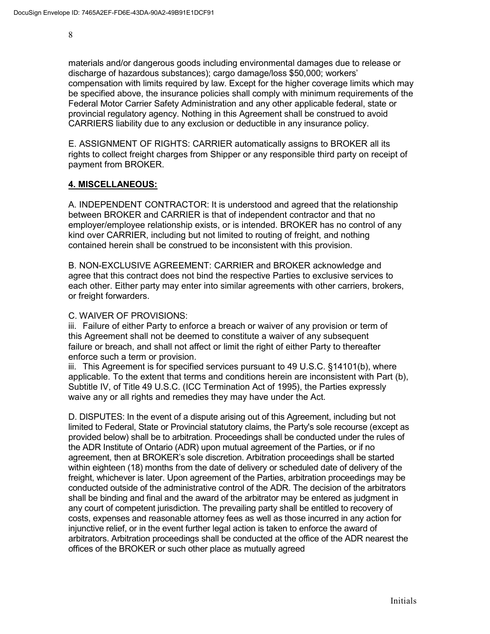materials and/or dangerous goods including environmental damages due to release or discharge of hazardous substances); cargo damage/loss \$50,000; workers' compensation with limits required by law. Except for the higher coverage limits which may be specified above, the insurance policies shall comply with minimum requirements of the Federal Motor Carrier Safety Administration and any other applicable federal, state or provincial regulatory agency. Nothing in this Agreement shall be construed to avoid CARRIERS liability due to any exclusion or deductible in any insurance policy.

E. ASSIGNMENT OF RIGHTS: CARRIER automatically assigns to BROKER all its rights to collect freight charges from Shipper or any responsible third party on receipt of payment from BROKER.

#### **4. MISCELLANEOUS:**

A. INDEPENDENT CONTRACTOR: It is understood and agreed that the relationship between BROKER and CARRIER is that of independent contractor and that no employer/employee relationship exists, or is intended. BROKER has no control of any kind over CARRIER, including but not limited to routing of freight, and nothing contained herein shall be construed to be inconsistent with this provision.

B. NON-EXCLUSIVE AGREEMENT: CARRIER and BROKER acknowledge and agree that this contract does not bind the respective Parties to exclusive services to each other. Either party may enter into similar agreements with other carriers, brokers, or freight forwarders.

#### C. WAIVER OF PROVISIONS:

iii. Failure of either Party to enforce a breach or waiver of any provision or term of this Agreement shall not be deemed to constitute a waiver of any subsequent failure or breach, and shall not affect or limit the right of either Party to thereafter enforce such a term or provision.

iii. This Agreement is for specified services pursuant to 49 U.S.C. §14101(b), where applicable. To the extent that terms and conditions herein are inconsistent with Part (b), Subtitle IV, of Title 49 U.S.C. (ICC Termination Act of 1995), the Parties expressly waive any or all rights and remedies they may have under the Act.

D. DISPUTES: In the event of a dispute arising out of this Agreement, including but not limited to Federal, State or Provincial statutory claims, the Party's sole recourse (except as provided below) shall be to arbitration. Proceedings shall be conducted under the rules of the ADR Institute of Ontario (ADR) upon mutual agreement of the Parties, or if no agreement, then at BROKER's sole discretion. Arbitration proceedings shall be started within eighteen (18) months from the date of delivery or scheduled date of delivery of the freight, whichever is later. Upon agreement of the Parties, arbitration proceedings may be conducted outside of the administrative control of the ADR. The decision of the arbitrators shall be binding and final and the award of the arbitrator may be entered as judgment in any court of competent jurisdiction. The prevailing party shall be entitled to recovery of costs, expenses and reasonable attorney fees as well as those incurred in any action for injunctive relief, or in the event further legal action is taken to enforce the award of arbitrators. Arbitration proceedings shall be conducted at the office of the ADR nearest the offices of the BROKER or such other place as mutually agreed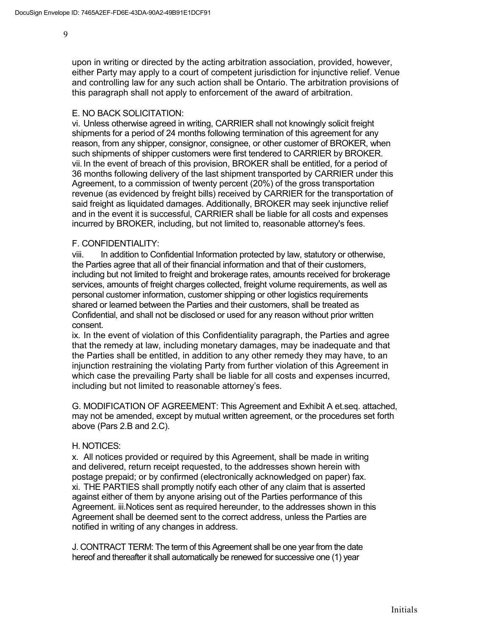upon in writing or directed by the acting arbitration association, provided, however, either Party may apply to a court of competent jurisdiction for injunctive relief. Venue and controlling law for any such action shall be Ontario. The arbitration provisions of this paragraph shall not apply to enforcement of the award of arbitration.

#### E. NO BACK SOLICITATION:

vi. Unless otherwise agreed in writing, CARRIER shall not knowingly solicit freight shipments for a period of 24 months following termination of this agreement for any reason, from any shipper, consignor, consignee, or other customer of BROKER, when such shipments of shipper customers were first tendered to CARRIER by BROKER. vii. In the event of breach of this provision, BROKER shall be entitled, for a period of 36 months following delivery of the last shipment transported by CARRIER under this Agreement, to a commission of twenty percent (20%) of the gross transportation revenue (as evidenced by freight bills) received by CARRIER for the transportation of said freight as liquidated damages. Additionally, BROKER may seek injunctive relief and in the event it is successful, CARRIER shall be liable for all costs and expenses incurred by BROKER, including, but not limited to, reasonable attorney's fees.

#### F. CONFIDENTIALITY:

viii. In addition to Confidential Information protected by law, statutory or otherwise, the Parties agree that all of their financial information and that of their customers, including but not limited to freight and brokerage rates, amounts received for brokerage services, amounts of freight charges collected, freight volume requirements, as well as personal customer information, customer shipping or other logistics requirements shared or learned between the Parties and their customers, shall be treated as Confidential, and shall not be disclosed or used for any reason without prior written consent.

ix. In the event of violation of this Confidentiality paragraph, the Parties and agree that the remedy at law, including monetary damages, may be inadequate and that the Parties shall be entitled, in addition to any other remedy they may have, to an injunction restraining the violating Party from further violation of this Agreement in which case the prevailing Party shall be liable for all costs and expenses incurred, including but not limited to reasonable attorney's fees.

G. MODIFICATION OF AGREEMENT: This Agreement and Exhibit A et.seq. attached, may not be amended, except by mutual written agreement, or the procedures set forth above (Pars 2.B and 2.C).

#### H. NOTICES:

x. All notices provided or required by this Agreement, shall be made in writing and delivered, return receipt requested, to the addresses shown herein with postage prepaid; or by confirmed (electronically acknowledged on paper) fax. xi. THE PARTIES shall promptly notify each other of any claim that is asserted against either of them by anyone arising out of the Parties performance of this Agreement. iii.Notices sent as required hereunder, to the addresses shown in this Agreement shall be deemed sent to the correct address, unless the Parties are notified in writing of any changes in address.

J. CONTRACT TERM: The term of this Agreement shall be one year from the date hereof and thereafter it shall automatically be renewed for successive one (1) year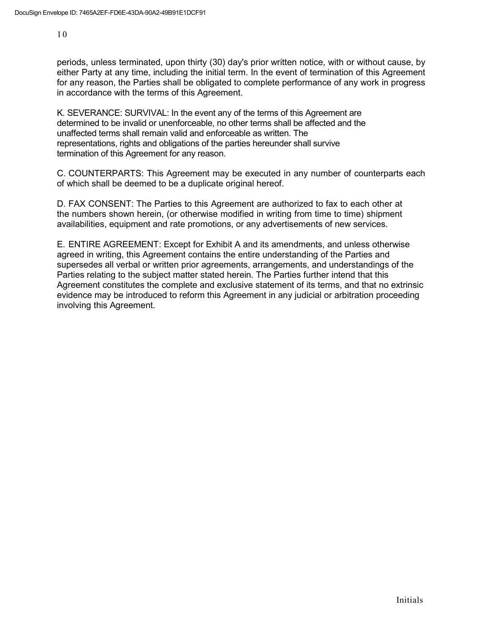periods, unless terminated, upon thirty (30) day's prior written notice, with or without cause, by either Party at any time, including the initial term. In the event of termination of this Agreement for any reason, the Parties shall be obligated to complete performance of any work in progress in accordance with the terms of this Agreement.

K. SEVERANCE: SURVIVAL: In the event any of the terms of this Agreement are determined to be invalid or unenforceable, no other terms shall be affected and the unaffected terms shall remain valid and enforceable as written. The representations, rights and obligations of the parties hereunder shall survive termination of this Agreement for any reason.

C. COUNTERPARTS: This Agreement may be executed in any number of counterparts each of which shall be deemed to be a duplicate original hereof.

D. FAX CONSENT: The Parties to this Agreement are authorized to fax to each other at the numbers shown herein, (or otherwise modified in writing from time to time) shipment availabilities, equipment and rate promotions, or any advertisements of new services.

E. ENTIRE AGREEMENT: Except for Exhibit A and its amendments, and unless otherwise agreed in writing, this Agreement contains the entire understanding of the Parties and supersedes all verbal or written prior agreements, arrangements, and understandings of the Parties relating to the subject matter stated herein. The Parties further intend that this Agreement constitutes the complete and exclusive statement of its terms, and that no extrinsic evidence may be introduced to reform this Agreement in any judicial or arbitration proceeding involving this Agreement.